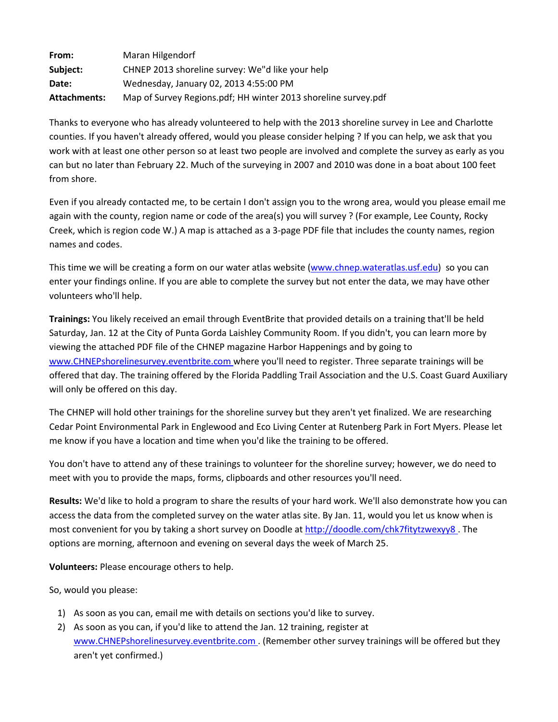| From:        | Maran Hilgendorf                                               |
|--------------|----------------------------------------------------------------|
| Subject:     | CHNEP 2013 shoreline survey: We"d like your help               |
| Date:        | Wednesday, January 02, 2013 4:55:00 PM                         |
| Attachments: | Map of Survey Regions.pdf; HH winter 2013 shoreline survey.pdf |

Thanks to everyone who has already volunteered to help with the 2013 shoreline survey in Lee and Charlotte counties. If you haven't already offered, would you please consider helping ? If you can help, we ask that you work with at least one other person so at least two people are involved and complete the survey as early as you can but no later than February 22. Much of the surveying in 2007 and 2010 was done in a boat about 100 feet from shore.

Even if you already contacted me, to be certain I don't assign you to the wrong area, would you please email me again with the county, region name or code of the area(s) you will survey ? (For example, Lee County, Rocky Creek, which is region code W.) A map is attached as a 3-page PDF file that includes the county names, region names and codes.

This time we will be creating a form on our water atlas website [\(www.chnep.wateratlas.usf.edu\)](file://c/www.chnep.wateratlas.usf.edu) so you can enter your findings online. If you are able to complete the survey but not enter the data, we may have other volunteers who'll help.

**Trainings:** You likely received an email through EventBrite that provided details on a training that'll be held Saturday, Jan. 12 at the City of Punta Gorda Laishley Community Room. If you didn't, you can learn more by viewing the attached PDF file of the CHNEP magazine Harbor Happenings and by going to [www.CHNEPshorelinesurvey.eventbrite.com](file://c/www.CHNEPshorelinesurvey.eventbrite.com) where you'll need to register. Three separate trainings will be offered that day. The training offered by the Florida Paddling Trail Association and the U.S. Coast Guard Auxiliary will only be offered on this day.

The CHNEP will hold other trainings for the shoreline survey but they aren't yet finalized. We are researching Cedar Point Environmental Park in Englewood and Eco Living Center at Rutenberg Park in Fort Myers. Please let me know if you have a location and time when you'd like the training to be offered.

You don't have to attend any of these trainings to volunteer for the shoreline survey; however, we do need to meet with you to provide the maps, forms, clipboards and other resources you'll need.

**Results:** We'd like to hold a program to share the results of your hard work. We'll also demonstrate how you can access the data from the completed survey on the water atlas site. By Jan. 11, would you let us know when is most convenient for you by taking a short survey on Doodle at<http://doodle.com/chk7fitytzwexyy8> . The options are morning, afternoon and evening on several days the week of March 25.

**Volunteers:** Please encourage others to help.

So, would you please:

- 1) As soon as you can, email me with details on sections you'd like to survey.
- 2) As soon as you can, if you'd like to attend the Jan. 12 training, register at [www.CHNEPshorelinesurvey.eventbrite.com](file://c/www.CHNEPshorelinesurvey.eventbrite.com) . (Remember other survey trainings will be offered but they aren't yet confirmed.)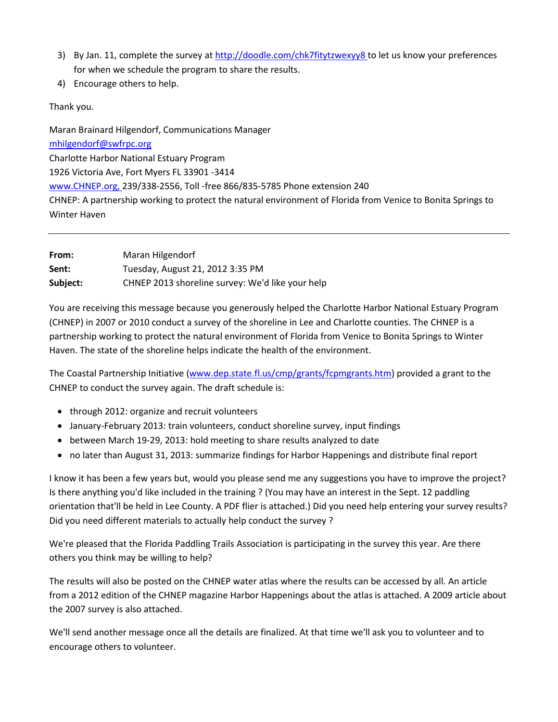- 3) By Jan. 11, complete the survey at <http://doodle.com/chk7fitytzwexyy8> to let us know your preferences for when we schedule the program to share the results.
- 4) Encourage others to help.

Thank you.

Maran Brainard Hilgendorf, Communications Manager [mhilgendorf@swfrpc.org](mailto:mhilgendorf@swfrpc.org) Charlotte Harbor National Estuary Program 1926 Victoria Ave, Fort Myers FL 33901 -3414 [www.CHNEP.org,](http://www.chnep.org/) 239/338-2556, Toll -free 866/835-5785 Phone extension 240 CHNEP: A partnership working to protect the natural environment of Florida from Venice to Bonita Springs to Winter Haven

| From:    | Maran Hilgendorf                                 |
|----------|--------------------------------------------------|
| Sent:    | Tuesday, August 21, 2012 3:35 PM                 |
| Subject: | CHNEP 2013 shoreline survey: We'd like your help |

You are receiving this message because you generously helped the Charlotte Harbor National Estuary Program (CHNEP) in 2007 or 2010 conduct a survey of the shoreline in Lee and Charlotte counties. The CHNEP is a partnership working to protect the natural environment of Florida from Venice to Bonita Springs to Winter Haven. The state of the shoreline helps indicate the health of the environment.

The Coastal Partnership Initiative [\(www.dep.state.fl.us/cmp/grants/fcpmgrants.htm\)](http://www.dep.state.fl.us/cmp/grants/fcpmgrants.htm) provided a grant to the CHNEP to conduct the survey again. The draft schedule is:

- through 2012: organize and recruit volunteers
- January-February 2013: train volunteers, conduct shoreline survey, input findings
- between March 19-29, 2013: hold meeting to share results analyzed to date
- no later than August 31, 2013: summarize findings for Harbor Happenings and distribute final report

I know it has been a few years but, would you please send me any suggestions you have to improve the project? Is there anything you'd like included in the training ? (You may have an interest in the Sept. 12 paddling orientation that'll be held in Lee County. A PDF flier is attached.) Did you need help entering your survey results? Did you need different materials to actually help conduct the survey ?

We're pleased that the Florida Paddling Trails Association is participating in the survey this year. Are there others you think may be willing to help?

The results will also be posted on the CHNEP water atlas where the results can be accessed by all. An article from a 2012 edition of the CHNEP magazine Harbor Happenings about the atlas is attached. A 2009 article about the 2007 survey is also attached.

We'll send another message once all the details are finalized. At that time we'll ask you to volunteer and to encourage others to volunteer.